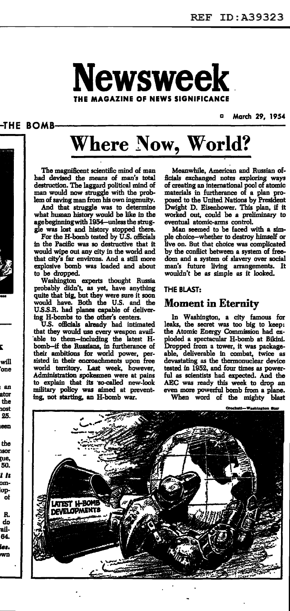

-THE BOMB-

Ē,

will

'one

an

ator

the

nost 25. een

the isor ņie, 50. i it omlopot

R. do ail-64. ies. wn

March 29, 1954

# **Where Now, World?**

The magnificent scientific mind of man had devised the means of man's total destruction. The laggard political mind of man would now struggle with the problem of saving man from his own ingenuity.

And that struggle was to determine what human history would be like in the age beginning with 1954—unless the strug-

gle was lost and history stopped there.<br>For the H-bomb tested by U.S. officials in the Pacific was so destructive that it would wipe out any city in the world and that city's far environs. And a still more explosive bomb was loaded and about to be dropped.

Washington experts thought Russia<br>probably didn't, as yet, have anything quite that big, but they were sure it soon<br>would have. Both the U.S. and the U.S.S.R. had planes capable of delivering H-bombs to the other's centers.

U.S. officials already had intimated that they would use every weapon available to them-including the latest H-<br>bomb-if the Russians, in furtherance of their ambitions for world power, persisted in their encroachments upon free world territory. Last week, however, Administration spokesmen were at pains to explain that its so-called new-look military policy was aimed at preventing, not starting, an H-bomb war.

Meanwhile, American and Russian officials exchanged notes exploring ways of creating an international pool of atomic materials in furtherance of a plan proposed to the United Nations by President Dwight D. Eisenhower. This plan, if it worked out, could be a preliminary to eventual atomic-arms control.

Man seemed to be faced with a simple choice—whether to destroy himself or live on. But that choice was complicated by the conflict between a system of freedom and a system of slavery over social man's future living arrangements. It wouldn't be as simple as it looked.

### **THE BLAST:**

### **Moment in Eternity**

In Washington, a city famous for leaks, the secret was too big to keep: the Atomic Energy Commission had exploded a spectacular H-bomb at Bikini.<br>Dropped from a tower, it was packageable, deliverable in combat, twice as devastating as the thermonuclear device tested in 1952, and four times as powerful as scientists had expected. And the AEC was ready this week to drop an even more powerful bomb from a plane. When word of the mighty blast

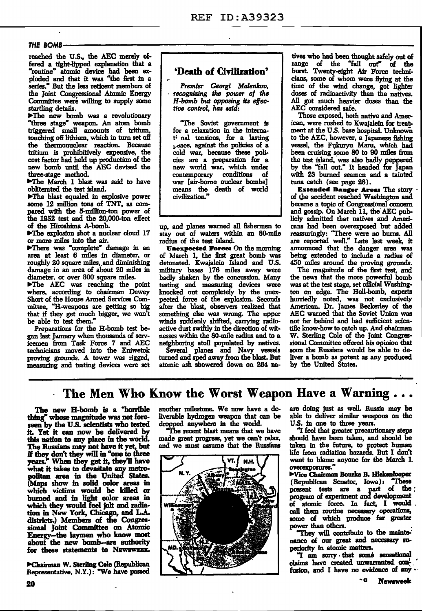### *THE* 80M8~~~~~~~~~~~~~~~~~~~~~~~~~~~~~~~~~--

reached the U.S., the AEC merely offered a tight-lipped explanation that a •routine.. atomic device had been exploded and that it was "the first in a series." But the less reticent members of the Joint Congressional Atomic Energy Committee were willing to supply some startling details.

>The new bomb was a revolutionary "three stage" weapon. An atom bomb biggered small amounts of tritium, touching off lithium, which in turn set off the thermonuclear reaction. Because tritiwn is prohibitively expensive, the cost factor had held up production of the new bomb until the AEC devised the three-stage method.

The March 1 blast was said to have obliterated the test island.

>The blast equaled in explosive power some 12 million tons of TNT, as compared with the 5-million-ton power of the 1952 test and the 20,000-ton effect of the Hiroshima A-bomb.

 $\blacktriangleright$ The explosion shot a nuclear cloud 17 or more miles into the air.

>There was "complete" damage in an area at least 6 miles in diameter, or roughly 20 square miles, and diminishing damage in an area of about 20 miles in diameter, or over 300 square miles.

lacktriang the point where, according to chairman Dewey Short of the House Armed Services Committee, "H-weapons are getting so big that if they get much bigger, we won't

be able to test them."<br>Preparations for the H-bomb test began last January when thousands of servicemen from Task Force 7 and AEC technicians moved into the Eniwetok proving grounds. A tower was rigged, measuring and testing devices were set

### 'Death of Civilization'

*Premier* Georgi *Malenlcov,* · *recognizing the power of the H-bomb but* opposing *it8 effective control, haa* said:

'The Soviet government is for a relaxation in the internat' nal tensions, for a lasting i-c:ace, against the policies of a cold war, because these policies are a preparation for a new world war, which under contemporary conditions of war [air-borne nuclear bombs] means the death of world civilization."

up, and planes warned all fishermen to stay out of waters within an 80-mile radius of the test island.

Unexpected Force: On the morning of March l, the first great bomb was detonated. Kwajalein Island and U.S. military bases 176 miles away were badly shaken by the concussion. Many testing and measuring devices were knocked out completely by the unexpected force of the explosion. Seconds after the blast, observers realized that something else was wrong. The upper winds suddenly shifted, carrying radioactive dust swiftly in the direction of witnesses within the 80-mile radius and to a neighboring atoll populated by natives.

Several planes and Navy vessels turned and sped away from the blast. But atomic ash showered down on 264 na-

tives who had been thought safely out of range of the "fall out" of the burst. Twenty-eight Air Force technicians, some of whom were Hying at the time of the wind change, got lighter doses of radioactivity than the natives. All got much heavier doses than the AEC considered safe.

Those exposed, both native and American, were rushed to Kwajalein for treatment at the U.S. base hospital. Unknown to the AEC, however, a Japanese fishing vessel, the Fukuryu Maru, which had been cruising some 80 to 90 miles from the test island, was also badly peppered by the "fall out." It beaded for Japan with 23 burned seamen and a tainted tuna catch (see page 23).

**Extended Danger Area: The story** of the accident reached Washington and became a topic of Congressional concern and gossip. On March 11, the AEC publicly admitted that natives and Americans had been overexposed but added reassuringly: 'There were no burns. All are reported well." Late last week, it announced that the danger area was being extended to include a radius of 450 miles around the proving grounds.

The magnitude of the first test, and the news that the more powerful bomb was at the test stage, set official Washington on edge. The Hell-bomb, experts hurriedly noted, was not exclusively American. Dr. James Beckerley of the AEC warned that the Soviet Union was not far behind and had sufficient scientific know-how to catch up. And chairman W. Sterling Cole of the Joint Congressional Committee offered his opinion that soon the Russians would be able to deliver a bomb as potent as any produced by the United States.

The Men Who Know the Worst Weapon Have a Warning...

The new B-bomb is a "hom'ble thing" whose magnitude was not foreseen by the U.S. scientists who tested it. Yet it can now be delivered by this nation to any place in the world. The Russians may not have it yet, but The Russians may not have it yet, but<br>if they don't they will in "one to three years." When they get it, they'll have what it takes to devastate any metropolitan area in the United States. (Maps show in solid color areas in which victims would be killed or burned and in light color areas in which they would feel jolt and radia· tion in New York, Chicago, and L.A. districts.) Members of the Congressional Joint Committee on Atomic Energy-the laymen who know most about the new bomb-are authority for these statements to NEWSWEEK.

 $\blacktriangleright$ Chairman W. Sterling Cole (Republican Representative, N.Y.): "We have passed another milestone. We now have a deliverable hydrogen weapon that can be dropped anywhere in the world.

"'The recent blast means that we have made great progress, yet we can't relax, and we must assume that the Russians



are doing just as well. Russia may be able to deliver similar weapons on the U.S. in one to three years.

"'I feel that greater precautionary steps should have been taken, and should be taken in the future, to protect human life from radiation hazards. But I don't want to blame anyone for the March 1. overexposures."

ll>Vice Chairman Bourke B. Hlckenlooper (Republican Senator, Iowa): "These present tests are a part of the ; program of experiment and development of atomic force. In fact, I would . call them routine necessary operations, some of which produce far greater power than others.

'"They will contribute to the mainte-" nance of our great and necessary superiority fn atomic matters.

"I am sorry that some sensational<br>claims have created unwarranted confusion, and I have no evidence of any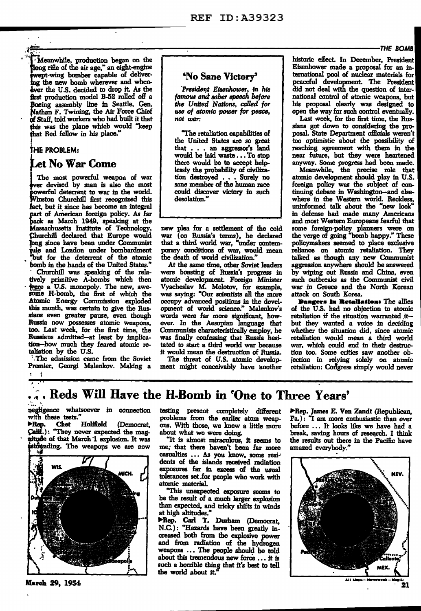flong rifle of the air age," an eight-engine  $\bullet$  Eisenhower made a proposal for an in-<br>wept-wing bomber capable of deliver-<br>No Sane Victory' ernational pool of nuclear materials for functional of the new bomb wherever and when-<br>
for the new bomb wherever and when-<br>  $\frac{1}{1}$  and  $\frac{1}{1}$  and  $\frac{1}{1}$  and  $\frac{1}{1}$  and  $\frac{1}{1}$  and  $\frac{1}{1}$  be new bomb wherever and when-<br>  $\frac{1}{1}$   $\frac{1}{1}$   $\frac{1}{$ lever the U.S. decided to drop it. As the Tresident Eisenhower, in his first production model B-52 rolled off a famous and sober speech before Boeing assembly line in Seattle, Gen. *the United Nations, called for* his proposal clearly was designed to **Nathan F.** Twining, the Air Force Chief use of atomic power for peace, open the way for such control eventually. Nathan F. Twining, the Air Force Chief *use of atomic power for peace*, open the way for such control eventually.<br>
of Staff, told workers who had built it that not war: Last week, for the first time, the Rusof Staff, told workers who had built it that not *war*: <br> **has week**, for the first time, the Rus-<br> **has was the plane which would "keep** this was the plane which would "keep since the retaliation capabilities of that Red fellow in his place."

 $\frac{1}{2}$  by man is also the most sane member of the human race powerful deterrent to war in the world. could discover victory in such powerful deterrent to war in the world. could disco<br>Winston Churchill first recognized this desolation." fact, but it since has become an integral integral unit of the "new look" uninformed talk about the "new look"<br>
part of American foreign policy. As far part of American foreign policy. As far in the interest of Americans in defense had made many Americans back as March 1949, speaking at the interest of and most Western Europeans fearful that back as March 1949, speaking at the **and most most weakened most Western Europe**<br>Massachusetts Institute of Technology, new plea for a settlement of the cold Massachusetts Institute o£ Technology, new plea for a settlement o£ the cold some foreign-policy planners were on Churchill declared that Europe would war (on Russia's terms), he declared the verge of going "bomb happy." These<br>Long since have been under Communist that a third world war, "under contem- policymakers seemed to place excl tule and London under bombardment porary conditions of war, would mean reliance on atomic retaliation. They<br>"but for the deterrent of the atomic the death of world civilization." talked as though any new Communist bomb in the hands of the United States." At the same time, other Soviet leaders <br>Churchill was speaking of the rela- were boasting of Russia's progress in tively primitive A-bombs which then atomic development. Foreign Minister such outbreaks as the Communist civil<br>example, war in Greece and the North Korean tively primitive A-bombs which then atomic development. Foreign Minister such outbreaks as the Communist civil<br>Some a U.S. monopoly. The new, awe- Vyacheslav M. Molotov, for example, war in Greece and the North Korean<br>Some Atomic Energy Commission exploded occupy advanced positions in the devel-<br>Atomic Energy Commission exploded occupy advanced positions in the devel-<br>this month, was certain to give the Rus- opment of world science." Malenko this month, was certain to give the Rus- opment of world science." Malenkov's of the U.S. had no objection to atomic<br>sians even greater pause, even though words were far more significant, how- retaliation if the situation Russia now possesses atomic weapons, ever. In the Aesopian language that but they wanted a voice in deciding<br>too. Last week, for the first time, the Communists characteristically employ, he whether the situation did, since too. Last week, for the first time, the Communists characteristically employ, he whether the situation did, since atomic Russians admitted-at least by implica- was finally confessing that Russia hesi- retaliation would mean a third world tion-how much they feared atomic re- tated to start a third world war because war, which could end in their destruc-<br>taliation by the U.S. it would mean the destruction of Russia. tion too. Some critics saw another ob-

Premier, Georgi Malenkov. Making a I

, .

Let No War Come there would be to accept help- anyway. Some progress had been made.<br>
there would be to accept help-<br>
Meanwhile, the precise role that

were boasting of Russia's progress in by wiping out Russia and China, even<br>atomic development. Foreign Minister such outbreaks as the Communist civil

Weanwhile, production began on the historic effect. In December, President historic effect. In December, President historic effect. In December, President historic effect. In December, President historic effect. In Decembe  $f$ *amous and sober speech before* and *point a a famous and sober speech before* **national control of a tomic weapons**, but the *United Nations, called for* and his proposal clearly was designed to

"The retaliation capabilities of posal. State Department officials weren't<br>the United States are so great too optimistic about the possibility of <sup>1</sup> the United States are so great too optimistic about the possibility of THE PROBLEM: that . . . an aggressor's land reaching agreement with them in the that . . . an aggressor's land reaching agreement with them in the would be laid waste . . . To stop near future, but they were heartened there would be to accept help- anyway. Some progress had been made.

The most powerful weapon of war tion destroyed  $\ldots$  Surely no atomic development should play in U.S. er devised by man is also the most sane member of the human race foreign policy was the subject of continuing debate in Washington-and elsewhere in the Western world. Reckless, uninformed talk about the "new look" e death of world civilization." talked as though any new Communist<br>At the same time, other Soviet leaders aggression anywhere should be answered

aliation by the U.S. it would mean the destruction of Russia. tion too. Some critics saw another ob-<br>The admission came from the Soviet 11 The threat of U.S. atomic develop- jection in relying solely on atomic The threat of U.S. atomic develop- jection in relying solely on atomic ment might conceivably have another retaliation: Congress simply would never

... Reds Will Have the H-Bomb in 'One to Three Years'

negligence whatsoever in connection with these tests."<br>**• Rep.** Chet Holifield

 $\blacktriangleright$  Rep. Chet Holifield (Democrat, Calif.): "They never expected the magnitude of that March 1 explosion. It was istounding. The weapons we are now



March 29, 1954

testing present completely different problems from the earlier atom weapons. With those, we knew a little more about what we were doing.

"It is almost miraculous, it seems to me; that there haven't been far more casualties . . . As you know, some resi-' dents of the islands received radiation exposures far in excess of the usual tolerances set.for people who work with atomic material.

"This unexpected exposure seems to be the result of a much larger explosion than expected, and tricky shifts in winds at high altitudes."

Rep. Carl T. Durham (Democrat, N.C.): "Hazards have been greatly increased both from the explosive power and from radiation of the hydrogen weapons ••• The people should be told about this tremendous new force ... it is such a horrible thing that it's best to tell the world about it.

Rep. James E. Van Zandt (Republican, Pa.) : "I am more enthusiastic than ever before . . . It looks like we have had a break, saving hours of research. I think the results out there in the Pacific have amazed everybody.



.t.11 M•1M-N•-. ... 11:---au . 21